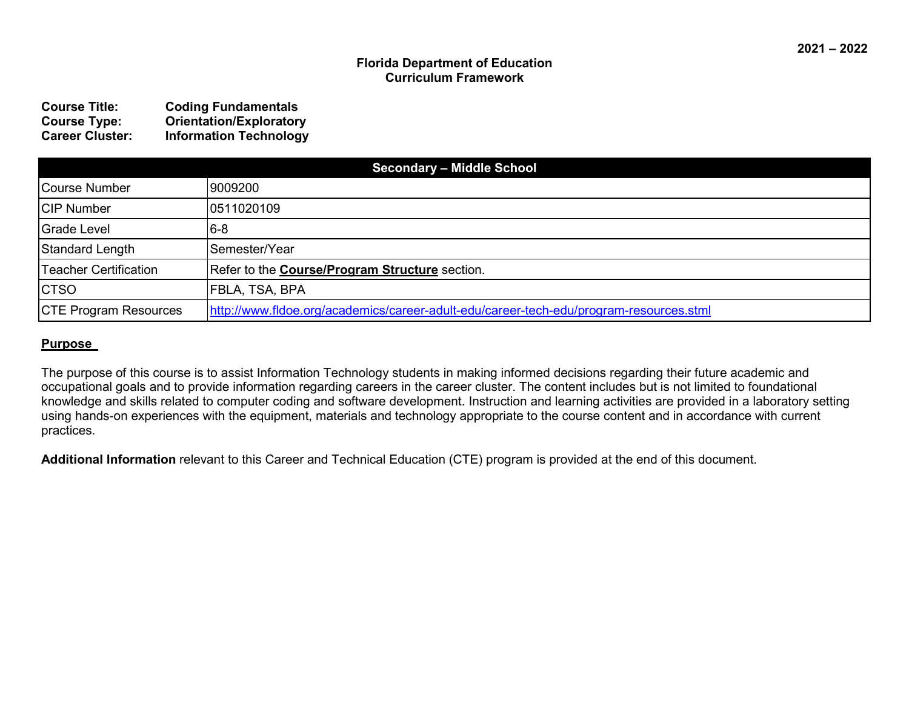#### **Florida Department of Education Curriculum Framework**

| <b>Course Title:</b>   | <b>Coding Fundamentals</b>     |
|------------------------|--------------------------------|
| <b>Course Type:</b>    | <b>Orientation/Exploratory</b> |
| <b>Career Cluster:</b> | <b>Information Technology</b>  |

| <b>Secondary - Middle School</b> |                                                                                        |  |
|----------------------------------|----------------------------------------------------------------------------------------|--|
| Course Number                    | 9009200                                                                                |  |
| <b>CIP Number</b>                | 0511020109                                                                             |  |
| Grade Level                      | $6 - 8$                                                                                |  |
| Standard Length                  | lSemester/Year                                                                         |  |
| <b>Teacher Certification</b>     | Refer to the Course/Program Structure section.                                         |  |
| <b>CTSO</b>                      | FBLA, TSA, BPA                                                                         |  |
| <b>CTE Program Resources</b>     | http://www.fldoe.org/academics/career-adult-edu/career-tech-edu/program-resources.stml |  |

#### **Purpose**

The purpose of this course is to assist Information Technology students in making informed decisions regarding their future academic and occupational goals and to provide information regarding careers in the career cluster. The content includes but is not limited to foundational knowledge and skills related to computer coding and software development. Instruction and learning activities are provided in a laboratory setting using hands-on experiences with the equipment, materials and technology appropriate to the course content and in accordance with current practices.

**Additional Information** relevant to this Career and Technical Education (CTE) program is provided at the end of this document.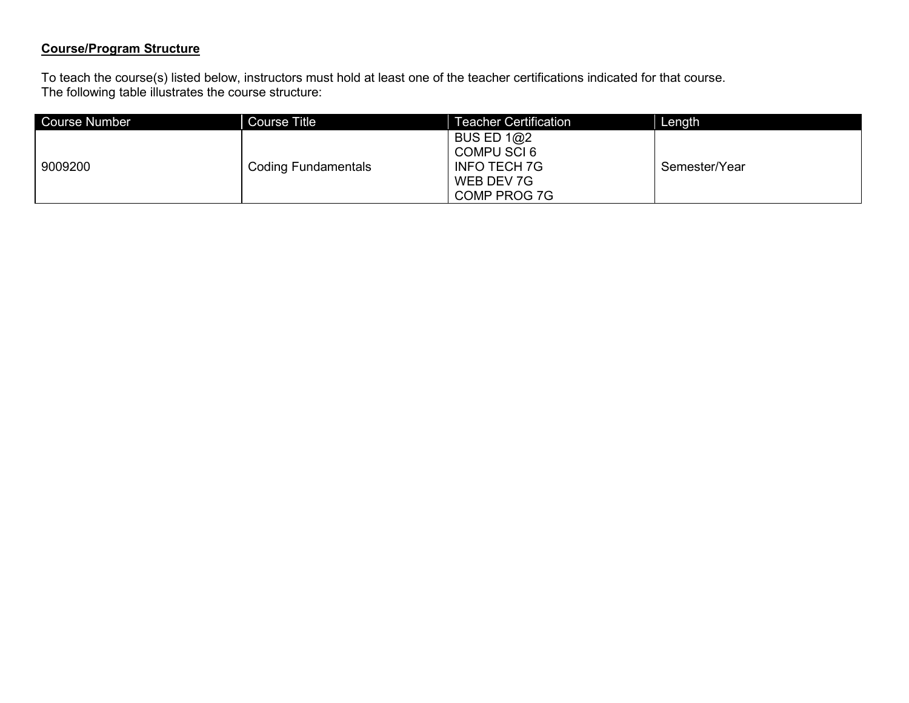# **Course/Program Structure**

To teach the course(s) listed below, instructors must hold at least one of the teacher certifications indicated for that course. The following table illustrates the course structure:

| Course Number | <b>Course Title</b>        | Teacher Certification                                                            | Length        |
|---------------|----------------------------|----------------------------------------------------------------------------------|---------------|
| 9009200       | <b>Coding Fundamentals</b> | BUS ED $1@2$<br>COMPU SCI 6<br><b>INFO TECH 7G</b><br>WEB DEV 7G<br>COMP PROG 7G | Semester/Year |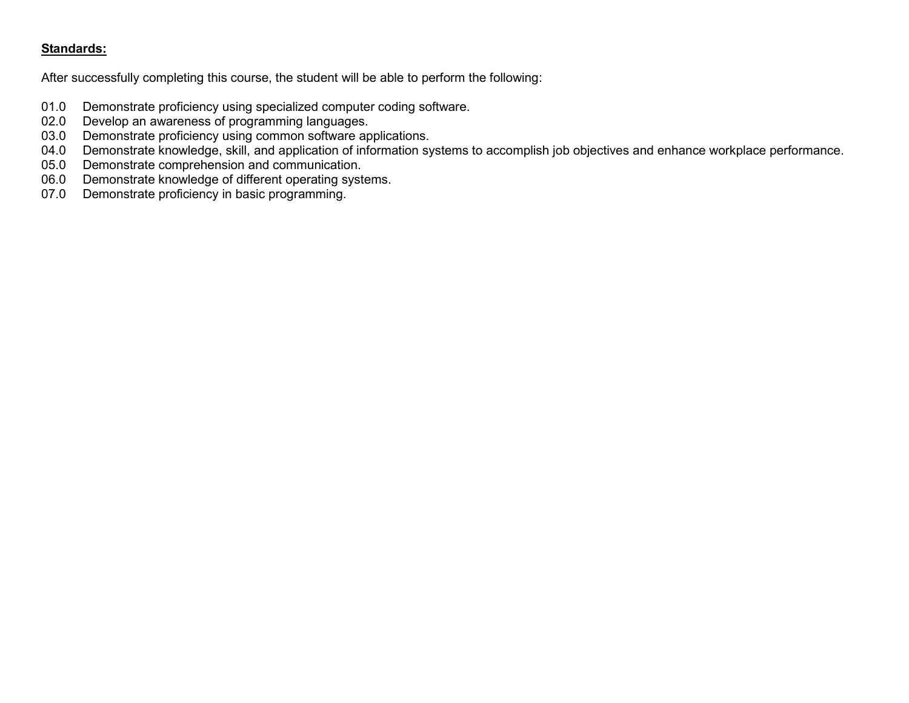## **Standards:**

After successfully completing this course, the student will be able to perform the following:

- 01.0 Demonstrate proficiency using specialized computer coding software.<br>02.0 Develop an awareness of programming languages.
- 02.0 Develop an awareness of programming languages.<br>03.0 Demonstrate proficiency using common software ap
- 03.0 Demonstrate proficiency using common software applications.<br>04.0 Demonstrate knowledge, skill, and application of information sy
- 04.0 Demonstrate knowledge, skill, and application of information systems to accomplish job objectives and enhance workplace performance.<br>05.0 Demonstrate comprehension and communication.
- 05.0 Demonstrate comprehension and communication.<br>06.0 Demonstrate knowledge of different operating system
- 06.0 Demonstrate knowledge of different operating systems.<br>07.0 Demonstrate proficiency in basic programming.
- Demonstrate proficiency in basic programming.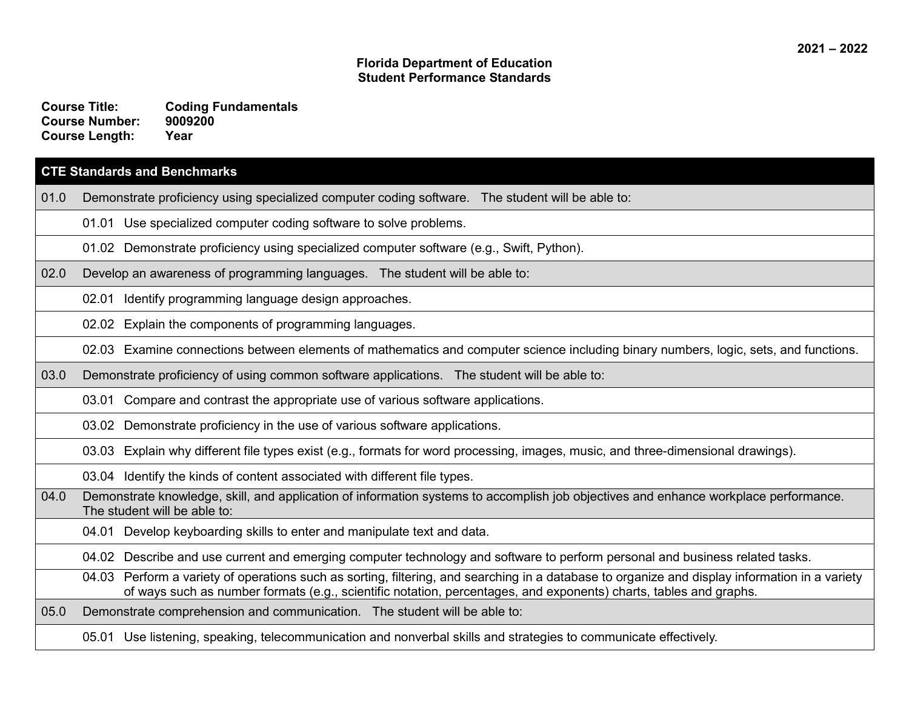#### **Florida Department of Education Student Performance Standards**

**Course Title: Coding Fundamentals Course Number: Course Length: Year**

#### **CTE Standards and Benchmarks**

01.0 Demonstrate proficiency using specialized computer coding software. The student will be able to:

01.01 Use specialized computer coding software to solve problems.

01.02 Demonstrate proficiency using specialized computer software (e.g., Swift, Python).

02.0 Develop an awareness of programming languages. The student will be able to:

02.01 Identify programming language design approaches.

02.02 Explain the components of programming languages.

02.03 Examine connections between elements of mathematics and computer science including binary numbers, logic, sets, and functions.

03.0 Demonstrate proficiency of using common software applications. The student will be able to:

03.01 Compare and contrast the appropriate use of various software applications.

03.02 Demonstrate proficiency in the use of various software applications.

03.03 Explain why different file types exist (e.g., formats for word processing, images, music, and three-dimensional drawings).

03.04 Identify the kinds of content associated with different file types.

04.0 Demonstrate knowledge, skill, and application of information systems to accomplish job objectives and enhance workplace performance. The student will be able to:

04.01 Develop keyboarding skills to enter and manipulate text and data.

04.02 Describe and use current and emerging computer technology and software to perform personal and business related tasks.

04.03 Perform a variety of operations such as sorting, filtering, and searching in a database to organize and display information in a variety of ways such as number formats (e.g., scientific notation, percentages, and exponents) charts, tables and graphs.

05.0 Demonstrate comprehension and communication. The student will be able to:

05.01 Use listening, speaking, telecommunication and nonverbal skills and strategies to communicate effectively.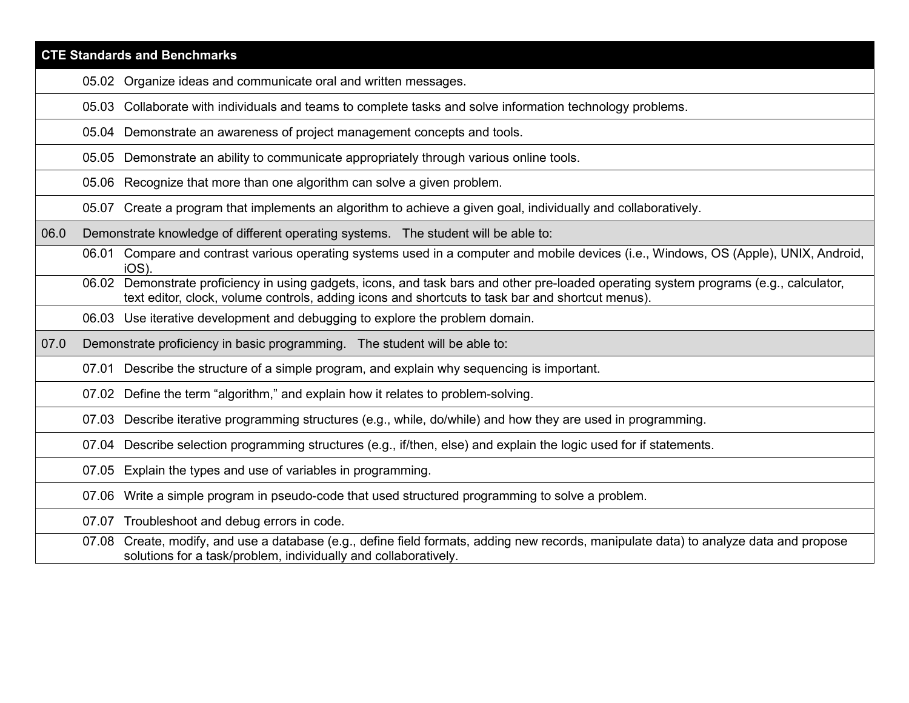|      | <b>CTE Standards and Benchmarks</b>                                                                                                                                                                                                        |  |  |  |
|------|--------------------------------------------------------------------------------------------------------------------------------------------------------------------------------------------------------------------------------------------|--|--|--|
|      | 05.02 Organize ideas and communicate oral and written messages.                                                                                                                                                                            |  |  |  |
|      | 05.03 Collaborate with individuals and teams to complete tasks and solve information technology problems.                                                                                                                                  |  |  |  |
|      | 05.04 Demonstrate an awareness of project management concepts and tools.                                                                                                                                                                   |  |  |  |
|      | 05.05 Demonstrate an ability to communicate appropriately through various online tools.                                                                                                                                                    |  |  |  |
|      | 05.06 Recognize that more than one algorithm can solve a given problem.                                                                                                                                                                    |  |  |  |
|      | 05.07 Create a program that implements an algorithm to achieve a given goal, individually and collaboratively.                                                                                                                             |  |  |  |
| 06.0 | Demonstrate knowledge of different operating systems. The student will be able to:                                                                                                                                                         |  |  |  |
|      | 06.01 Compare and contrast various operating systems used in a computer and mobile devices (i.e., Windows, OS (Apple), UNIX, Android,<br>IOS)                                                                                              |  |  |  |
|      | 06.02 Demonstrate proficiency in using gadgets, icons, and task bars and other pre-loaded operating system programs (e.g., calculator,<br>text editor, clock, volume controls, adding icons and shortcuts to task bar and shortcut menus). |  |  |  |
|      | 06.03 Use iterative development and debugging to explore the problem domain.                                                                                                                                                               |  |  |  |
| 07.0 | Demonstrate proficiency in basic programming. The student will be able to:                                                                                                                                                                 |  |  |  |
|      | 07.01 Describe the structure of a simple program, and explain why sequencing is important.                                                                                                                                                 |  |  |  |
|      | 07.02 Define the term "algorithm," and explain how it relates to problem-solving.                                                                                                                                                          |  |  |  |
|      | 07.03 Describe iterative programming structures (e.g., while, do/while) and how they are used in programming.                                                                                                                              |  |  |  |
|      | 07.04 Describe selection programming structures (e.g., if/then, else) and explain the logic used for if statements.                                                                                                                        |  |  |  |
|      | 07.05 Explain the types and use of variables in programming.                                                                                                                                                                               |  |  |  |
|      | 07.06 Write a simple program in pseudo-code that used structured programming to solve a problem.                                                                                                                                           |  |  |  |
|      | 07.07 Troubleshoot and debug errors in code.                                                                                                                                                                                               |  |  |  |
|      | 07.08 Create, modify, and use a database (e.g., define field formats, adding new records, manipulate data) to analyze data and propose<br>solutions for a task/problem, individually and collaboratively.                                  |  |  |  |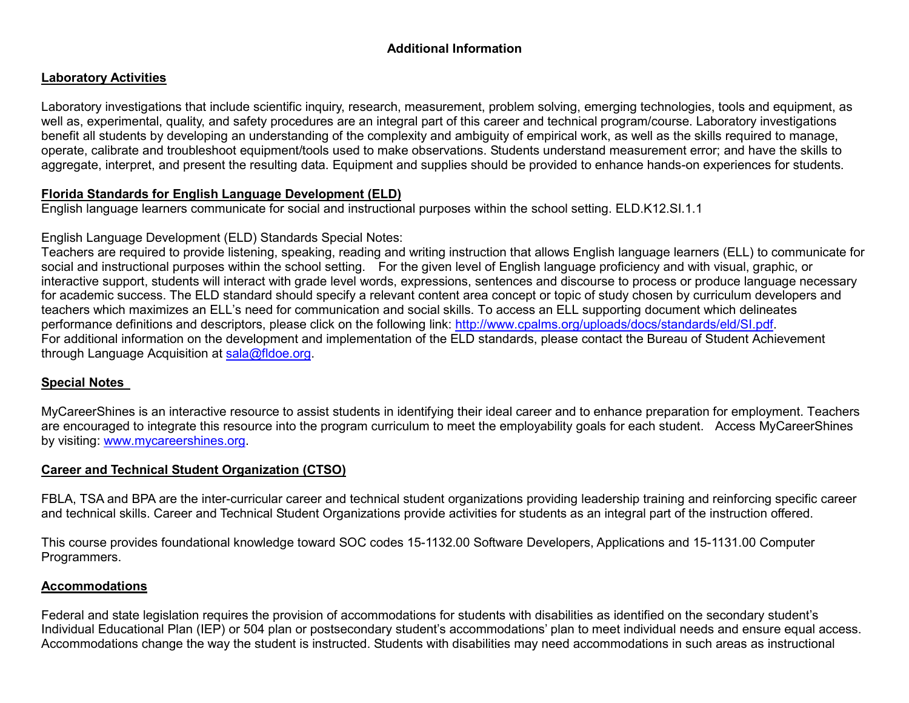## **Additional Information**

#### **Laboratory Activities**

Laboratory investigations that include scientific inquiry, research, measurement, problem solving, emerging technologies, tools and equipment, as well as, experimental, quality, and safety procedures are an integral part of this career and technical program/course. Laboratory investigations benefit all students by developing an understanding of the complexity and ambiguity of empirical work, as well as the skills required to manage, operate, calibrate and troubleshoot equipment/tools used to make observations. Students understand measurement error; and have the skills to aggregate, interpret, and present the resulting data. Equipment and supplies should be provided to enhance hands-on experiences for students.

#### **Florida Standards for English Language Development (ELD)**

English language learners communicate for social and instructional purposes within the school setting. ELD.K12.SI.1.1

#### English Language Development (ELD) Standards Special Notes:

Teachers are required to provide listening, speaking, reading and writing instruction that allows English language learners (ELL) to communicate for social and instructional purposes within the school setting. For the given level of English language proficiency and with visual, graphic, or interactive support, students will interact with grade level words, expressions, sentences and discourse to process or produce language necessary for academic success. The ELD standard should specify a relevant content area concept or topic of study chosen by curriculum developers and teachers which maximizes an ELL's need for communication and social skills. To access an ELL supporting document which delineates performance definitions and descriptors, please click on the following link: [http://www.cpalms.org/uploads/docs/standards/eld/SI.pdf.](http://www.cpalms.org/uploads/docs/standards/eld/SI.pdf) For additional information on the development and implementation of the ELD standards, please contact the Bureau of Student Achievement through Language Acquisition at [sala@fldoe.org.](mailto:sala@fldoe.org)

### **Special Notes**

MyCareerShines is an interactive resource to assist students in identifying their ideal career and to enhance preparation for employment. Teachers are encouraged to integrate this resource into the program curriculum to meet the employability goals for each student. Access MyCareerShines by visiting: [www.mycareershines.org.](http://www.mycareershines.org/)

### **Career and Technical Student Organization (CTSO)**

FBLA, TSA and BPA are the inter-curricular career and technical student organizations providing leadership training and reinforcing specific career and technical skills. Career and Technical Student Organizations provide activities for students as an integral part of the instruction offered.

This course provides foundational knowledge toward SOC codes 15-1132.00 Software Developers, Applications and 15-1131.00 Computer Programmers.

#### **Accommodations**

Federal and state legislation requires the provision of accommodations for students with disabilities as identified on the secondary student's Individual Educational Plan (IEP) or 504 plan or postsecondary student's accommodations' plan to meet individual needs and ensure equal access. Accommodations change the way the student is instructed. Students with disabilities may need accommodations in such areas as instructional